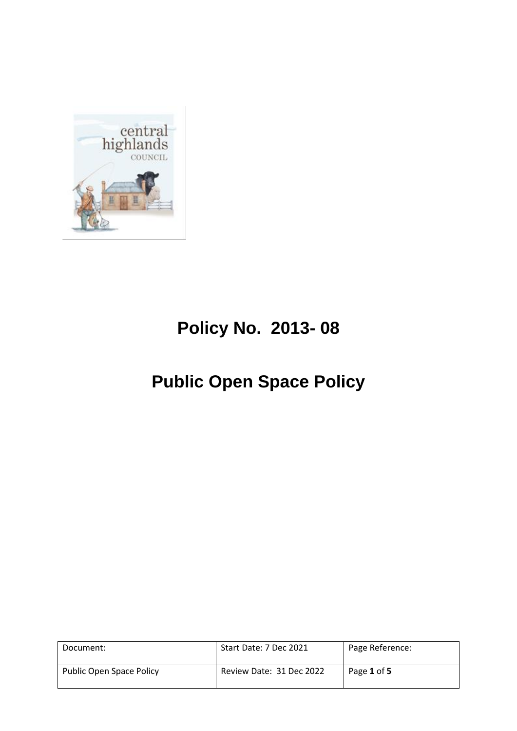

# **Policy No. 2013- 08**

# **Public Open Space Policy**

| Document:                | Start Date: 7 Dec 2021   | Page Reference: |
|--------------------------|--------------------------|-----------------|
| Public Open Space Policy | Review Date: 31 Dec 2022 | Page 1 of 5     |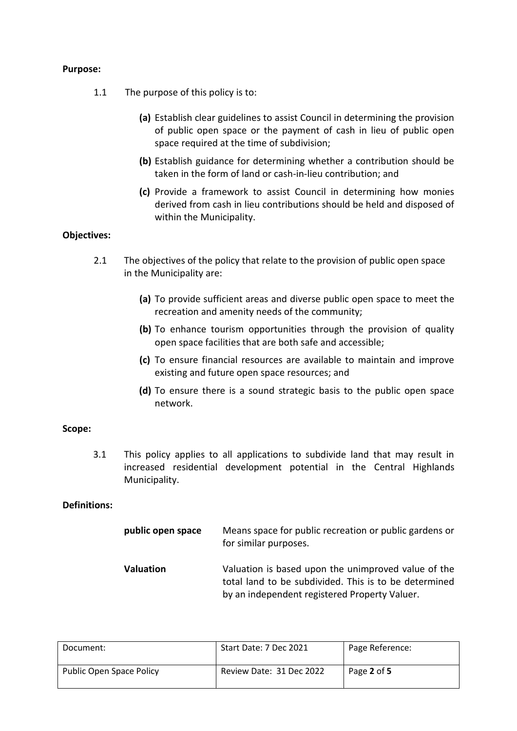## **Purpose:**

- 1.1 The purpose of this policy is to:
	- **(a)** Establish clear guidelines to assist Council in determining the provision of public open space or the payment of cash in lieu of public open space required at the time of subdivision;
	- **(b)** Establish guidance for determining whether a contribution should be taken in the form of land or cash-in-lieu contribution; and
	- **(c)** Provide a framework to assist Council in determining how monies derived from cash in lieu contributions should be held and disposed of within the Municipality.

## **Objectives:**

- 2.1 The objectives of the policy that relate to the provision of public open space in the Municipality are:
	- **(a)** To provide sufficient areas and diverse public open space to meet the recreation and amenity needs of the community;
	- **(b)** To enhance tourism opportunities through the provision of quality open space facilities that are both safe and accessible;
	- **(c)** To ensure financial resources are available to maintain and improve existing and future open space resources; and
	- **(d)** To ensure there is a sound strategic basis to the public open space network.

### **Scope:**

3.1 This policy applies to all applications to subdivide land that may result in increased residential development potential in the Central Highlands Municipality.

## **Definitions:**

| public open space | Means space for public recreation or public gardens or<br>for similar purposes.                                                                               |
|-------------------|---------------------------------------------------------------------------------------------------------------------------------------------------------------|
| <b>Valuation</b>  | Valuation is based upon the unimproved value of the<br>total land to be subdivided. This is to be determined<br>by an independent registered Property Valuer. |

| Document:                | Start Date: 7 Dec 2021   | Page Reference: |
|--------------------------|--------------------------|-----------------|
| Public Open Space Policy | Review Date: 31 Dec 2022 | Page 2 of 5     |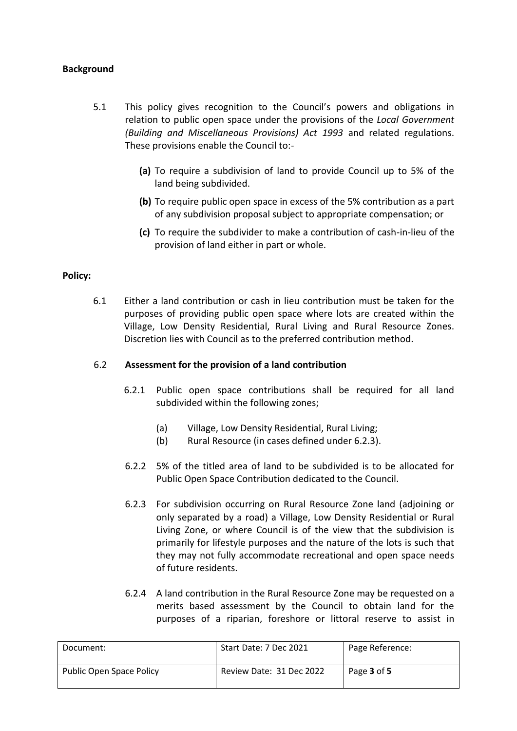## **Background**

- 5.1 This policy gives recognition to the Council's powers and obligations in relation to public open space under the provisions of the *Local Government (Building and Miscellaneous Provisions) Act 1993* and related regulations. These provisions enable the Council to:-
	- **(a)** To require a subdivision of land to provide Council up to 5% of the land being subdivided.
	- **(b)** To require public open space in excess of the 5% contribution as a part of any subdivision proposal subject to appropriate compensation; or
	- **(c)** To require the subdivider to make a contribution of cash-in-lieu of the provision of land either in part or whole.

### **Policy:**

6.1 Either a land contribution or cash in lieu contribution must be taken for the purposes of providing public open space where lots are created within the Village, Low Density Residential, Rural Living and Rural Resource Zones. Discretion lies with Council as to the preferred contribution method.

### 6.2 **Assessment for the provision of a land contribution**

- 6.2.1 Public open space contributions shall be required for all land subdivided within the following zones;
	- (a) Village, Low Density Residential, Rural Living;
	- (b) Rural Resource (in cases defined under 6.2.3).
- 6.2.2 5% of the titled area of land to be subdivided is to be allocated for Public Open Space Contribution dedicated to the Council.
- 6.2.3 For subdivision occurring on Rural Resource Zone land (adjoining or only separated by a road) a Village, Low Density Residential or Rural Living Zone, or where Council is of the view that the subdivision is primarily for lifestyle purposes and the nature of the lots is such that they may not fully accommodate recreational and open space needs of future residents.
- 6.2.4 A land contribution in the Rural Resource Zone may be requested on a merits based assessment by the Council to obtain land for the purposes of a riparian, foreshore or littoral reserve to assist in

| Document:                | Start Date: 7 Dec 2021   | Page Reference: |
|--------------------------|--------------------------|-----------------|
| Public Open Space Policy | Review Date: 31 Dec 2022 | Page 3 of 5     |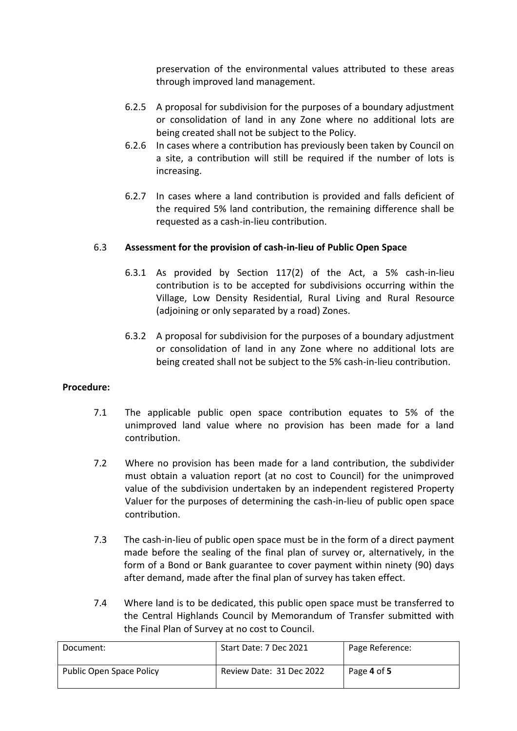preservation of the environmental values attributed to these areas through improved land management.

- 6.2.5 A proposal for subdivision for the purposes of a boundary adjustment or consolidation of land in any Zone where no additional lots are being created shall not be subject to the Policy.
- 6.2.6 In cases where a contribution has previously been taken by Council on a site, a contribution will still be required if the number of lots is increasing.
- 6.2.7 In cases where a land contribution is provided and falls deficient of the required 5% land contribution, the remaining difference shall be requested as a cash-in-lieu contribution.

## 6.3 **Assessment for the provision of cash-in-lieu of Public Open Space**

- 6.3.1 As provided by Section 117(2) of the Act, a 5% cash-in-lieu contribution is to be accepted for subdivisions occurring within the Village, Low Density Residential, Rural Living and Rural Resource (adjoining or only separated by a road) Zones.
- 6.3.2 A proposal for subdivision for the purposes of a boundary adjustment or consolidation of land in any Zone where no additional lots are being created shall not be subject to the 5% cash-in-lieu contribution.

### **Procedure:**

- 7.1 The applicable public open space contribution equates to 5% of the unimproved land value where no provision has been made for a land contribution.
- 7.2 Where no provision has been made for a land contribution, the subdivider must obtain a valuation report (at no cost to Council) for the unimproved value of the subdivision undertaken by an independent registered Property Valuer for the purposes of determining the cash-in-lieu of public open space contribution.
- 7.3 The cash-in-lieu of public open space must be in the form of a direct payment made before the sealing of the final plan of survey or, alternatively, in the form of a Bond or Bank guarantee to cover payment within ninety (90) days after demand, made after the final plan of survey has taken effect.
- 7.4 Where land is to be dedicated, this public open space must be transferred to the Central Highlands Council by Memorandum of Transfer submitted with the Final Plan of Survey at no cost to Council.

| Document:                | Start Date: 7 Dec 2021   | Page Reference: |
|--------------------------|--------------------------|-----------------|
| Public Open Space Policy | Review Date: 31 Dec 2022 | Page 4 of 5     |